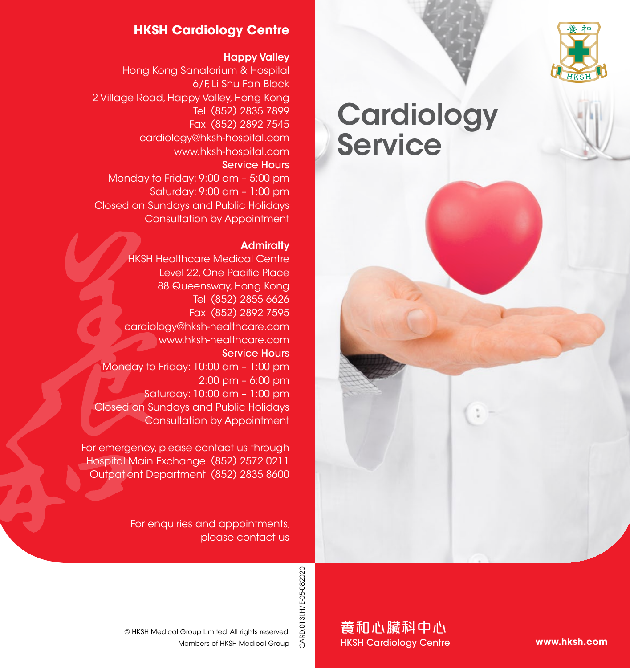

## **HKSH Cardiology Centre**

#### Happy Valley

Hong Kong Sanatorium & Hospital 6/F, Li Shu Fan Block 2 Village Road, Happy Valley, Hong Kong Tel: (852) 2835 7899 Fax: (852) 2892 7545 cardiology@hksh-hospital.com www.hksh-hospital.com Service Hours Monday to Friday: 9:00 am – 5:00 pm Saturday: 9:00 am – 1:00 pm Closed on Sundays and Public Holidays Consultation by Appointment

#### **Admiralty**

**HKSH Healthcare Medical Centre** Level 22, One Pacific Place 88 Queensway, Hong Kong Tel: (852) 2855 6626 Fax: (852) 2892 7595 cardiology@hksh-healthcare.com www.hksh-healthcare.com Service Hours Monday to Friday: 10:00 am – 1:00 pm 2:00 pm – 6:00 pm Saturday: 10:00 am – 1:00 pm Closed on Sundays and Public Holidays Consultation by Appointment

For emergency, please contact us through Hospital Main Exchange: (852) 2572 0211 Outpatient Department: (852) 2835 8600

> For enquiries and appointments, please contact us

# **Cardiology Service**



CARD.013I.H/E-05-082020 CARD.013I.H/E-05-082020

養和心臟科中心 HKSH Cardiology Centre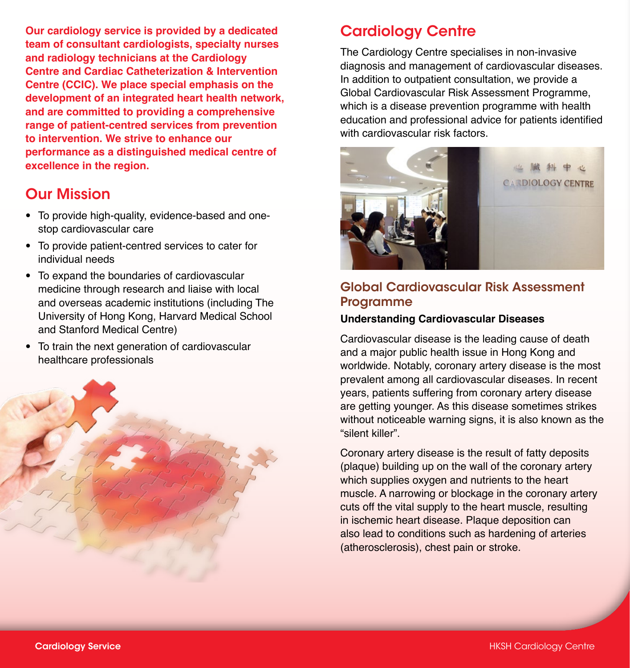**Our cardiology service is provided by a dedicated team of consultant cardiologists, specialty nurses and radiology technicians at the Cardiology Centre and Cardiac Catheterization & Intervention Centre (CCIC). We place special emphasis on the development of an integrated heart health network, and are committed to providing a comprehensive range of patient-centred services from prevention to intervention. We strive to enhance our performance as a distinguished medical centre of excellence in the region.**

# Our Mission

- To provide high-quality, evidence-based and onestop cardiovascular care
- To provide patient-centred services to cater for individual needs
- To expand the boundaries of cardiovascular medicine through research and liaise with local and overseas academic institutions (including The University of Hong Kong, Harvard Medical School and Stanford Medical Centre)
- To train the next generation of cardiovascular healthcare professionals



# Cardiology Centre

The Cardiology Centre specialises in non-invasive diagnosis and management of cardiovascular diseases. In addition to outpatient consultation, we provide a Global Cardiovascular Risk Assessment Programme, which is a disease prevention programme with health education and professional advice for patients identified with cardiovascular risk factors.



# Global Cardiovascular Risk Assessment Programme

#### **Understanding Cardiovascular Diseases**

Cardiovascular disease is the leading cause of death and a major public health issue in Hong Kong and worldwide. Notably, coronary artery disease is the most prevalent among all cardiovascular diseases. In recent years, patients suffering from coronary artery disease are getting younger. As this disease sometimes strikes without noticeable warning signs, it is also known as the "silent killer".

Coronary artery disease is the result of fatty deposits (plaque) building up on the wall of the coronary artery which supplies oxygen and nutrients to the heart muscle. A narrowing or blockage in the coronary artery cuts off the vital supply to the heart muscle, resulting in ischemic heart disease. Plaque deposition can also lead to conditions such as hardening of arteries (atherosclerosis), chest pain or stroke.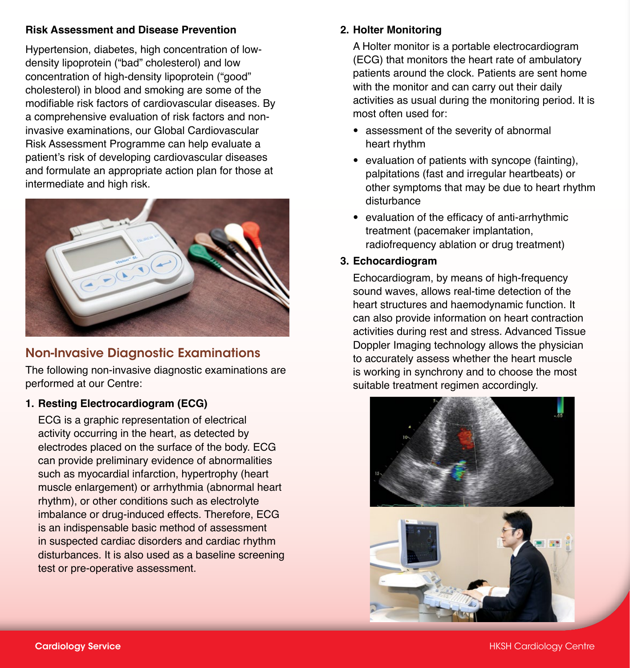#### **Risk Assessment and Disease Prevention**

Hypertension, diabetes, high concentration of lowdensity lipoprotein ("bad" cholesterol) and low concentration of high-density lipoprotein ("good" cholesterol) in blood and smoking are some of the modifiable risk factors of cardiovascular diseases. By a comprehensive evaluation of risk factors and noninvasive examinations, our Global Cardiovascular Risk Assessment Programme can help evaluate a patient's risk of developing cardiovascular diseases and formulate an appropriate action plan for those at intermediate and high risk.



## Non-Invasive Diagnostic Examinations

The following non-invasive diagnostic examinations are performed at our Centre:

#### **1. Resting Electrocardiogram (ECG)**

ECG is a graphic representation of electrical activity occurring in the heart, as detected by electrodes placed on the surface of the body. ECG can provide preliminary evidence of abnormalities such as myocardial infarction, hypertrophy (heart muscle enlargement) or arrhythmia (abnormal heart rhythm), or other conditions such as electrolyte imbalance or drug-induced effects. Therefore, ECG is an indispensable basic method of assessment in suspected cardiac disorders and cardiac rhythm disturbances. It is also used as a baseline screening test or pre-operative assessment.

#### **2. Holter Monitoring**

A Holter monitor is a portable electrocardiogram (ECG) that monitors the heart rate of ambulatory patients around the clock. Patients are sent home with the monitor and can carry out their daily activities as usual during the monitoring period. It is most often used for:

- assessment of the severity of abnormal heart rhythm
- evaluation of patients with syncope (fainting), palpitations (fast and irregular heartbeats) or other symptoms that may be due to heart rhythm disturbance
- evaluation of the efficacy of anti-arrhythmic treatment (pacemaker implantation, radiofrequency ablation or drug treatment)

#### **3. Echocardiogram**

Echocardiogram, by means of high-frequency sound waves, allows real-time detection of the heart structures and haemodynamic function. It can also provide information on heart contraction activities during rest and stress. Advanced Tissue Doppler Imaging technology allows the physician to accurately assess whether the heart muscle is working in synchrony and to choose the most suitable treatment regimen accordingly.

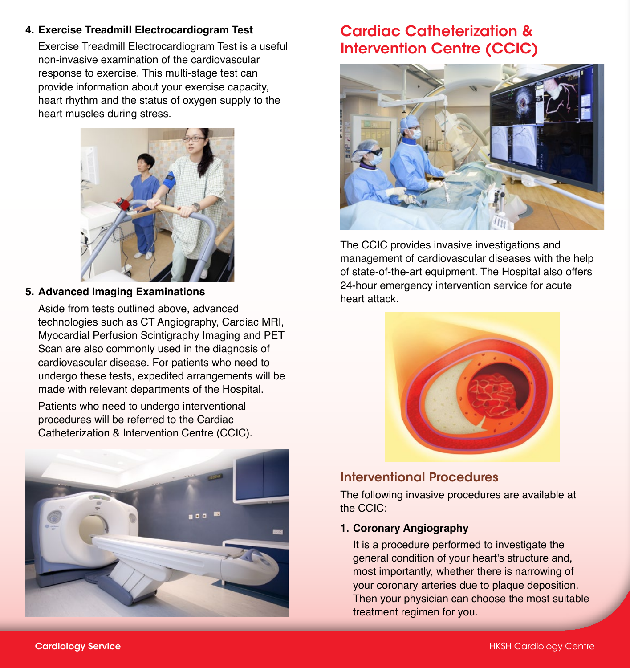#### **4. Exercise Treadmill Electrocardiogram Test**

Exercise Treadmill Electrocardiogram Test is a useful non-invasive examination of the cardiovascular response to exercise. This multi-stage test can provide information about your exercise capacity, heart rhythm and the status of oxygen supply to the heart muscles during stress.



#### **5. Advanced Imaging Examinations**

Aside from tests outlined above, advanced technologies such as CT Angiography, Cardiac MRI, Myocardial Perfusion Scintigraphy Imaging and PET Scan are also commonly used in the diagnosis of cardiovascular disease. For patients who need to undergo these tests, expedited arrangements will be made with relevant departments of the Hospital.

Patients who need to undergo interventional procedures will be referred to the Cardiac Catheterization & Intervention Centre (CCIC).



# Cardiac Catheterization & Intervention Centre (CCIC)



The CCIC provides invasive investigations and management of cardiovascular diseases with the help of state-of-the-art equipment. The Hospital also offers 24-hour emergency intervention service for acute heart attack.



## Interventional Procedures

The following invasive procedures are available at the CCIC:

#### **1. Coronary Angiography**

It is a procedure performed to investigate the general condition of your heart's structure and, most importantly, whether there is narrowing of your coronary arteries due to plaque deposition. Then your physician can choose the most suitable treatment regimen for you.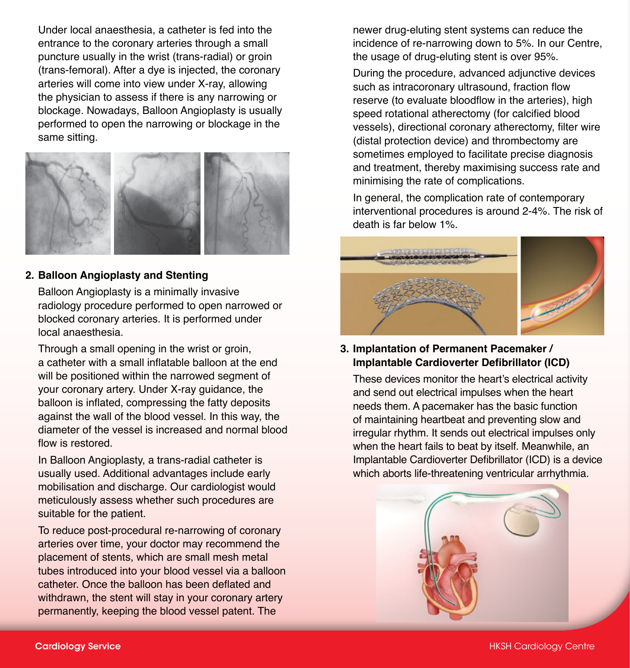Under local anaesthesia, a catheter is fed into the entrance to the coronary arteries through a small puncture usually in the wrist (trans-radial) or groin (trans-femoral). After a dye is injected, the coronary arteries will come into view under X-ray, allowing the physician to assess if there is any narrowing or blockage. Nowadays, Balloon Angioplasty is usually performed to open the narrowing or blockage in the same sitting.



#### **2. Balloon Angioplasty and Stenting**

Balloon Angioplasty is a minimally invasive radiology procedure performed to open narrowed or blocked coronary arteries. It is performed under local anaesthesia.

Through a small opening in the wrist or groin, a catheter with a small inflatable balloon at the end will be positioned within the narrowed segment of your coronary artery. Under X-ray guidance, the balloon is inflated, compressing the fatty deposits against the wall of the blood vessel. In this way, the diameter of the vessel is increased and normal blood flow is restored.

In Balloon Angioplasty, a trans-radial catheter is usually used. Additional advantages include early mobilisation and discharge. Our cardiologist would meticulously assess whether such procedures are suitable for the patient.

To reduce post-procedural re-narrowing of coronary arteries over time, your doctor may recommend the placement of stents, which are small mesh metal tubes introduced into your blood vessel via a balloon catheter. Once the balloon has been deflated and withdrawn, the stent will stay in your coronary artery permanently, keeping the blood vessel patent. The

newer drug-eluting stent systems can reduce the incidence of re-narrowing down to 5%. In our Centre, the usage of drug-eluting stent is over 95%.

During the procedure, advanced adjunctive devices such as intracoronary ultrasound, fraction flow reserve (to evaluate bloodflow in the arteries), high speed rotational atherectomy (for calcified blood vessels), directional coronary atherectomy, filter wire (distal protection device) and thrombectomy are sometimes employed to facilitate precise diagnosis and treatment, thereby maximising success rate and minimising the rate of complications.

In general, the complication rate of contemporary interventional procedures is around 2-4%. The risk of death is far below 1%.



**3. Implantation of Permanent Pacemaker / Implantable Cardioverter Defibrillator (ICD)**

These devices monitor the heart's electrical activity and send out electrical impulses when the heart needs them. A pacemaker has the basic function of maintaining heartbeat and preventing slow and irregular rhythm. It sends out electrical impulses only when the heart fails to beat by itself. Meanwhile, an Implantable Cardioverter Defibrillator (ICD) is a device which aborts life-threatening ventricular arrhythmia.